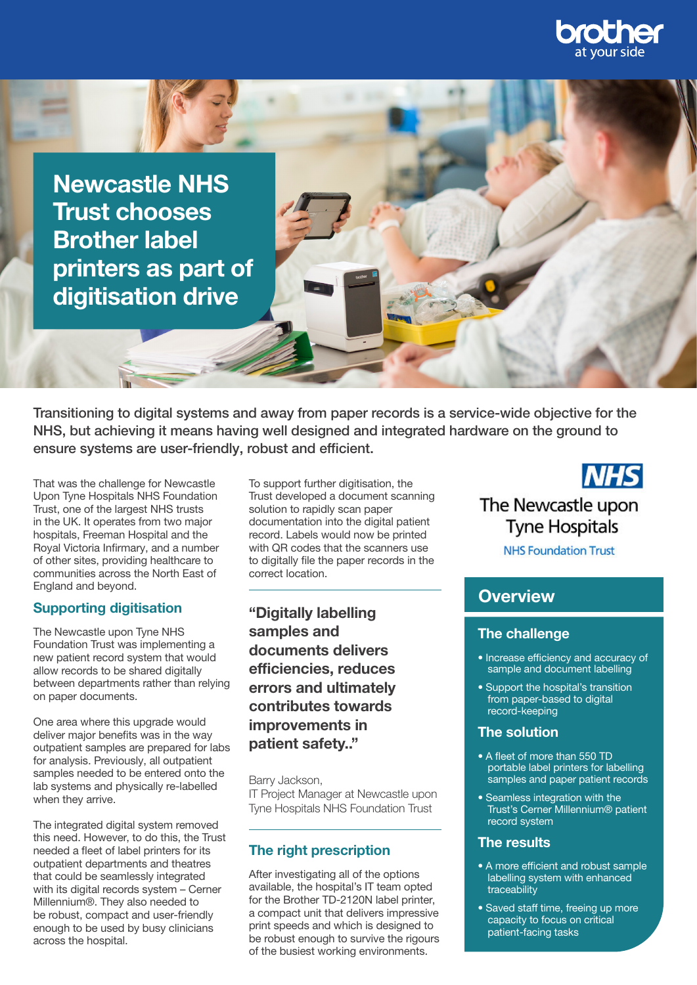

Newcastle NHS Trust chooses Brother label printers as part of digitisation drive

Transitioning to digital systems and away from paper records is a service-wide objective for the NHS, but achieving it means having well designed and integrated hardware on the ground to ensure systems are user-friendly, robust and efficient.

That was the challenge for Newcastle Upon Tyne Hospitals NHS Foundation Trust, one of the largest NHS trusts in the UK. It operates from two major hospitals, Freeman Hospital and the Royal Victoria Infirmary, and a number of other sites, providing healthcare to communities across the North East of England and beyond.

#### Supporting digitisation

The Newcastle upon Tyne NHS Foundation Trust was implementing a new patient record system that would allow records to be shared digitally between departments rather than relying on paper documents.

One area where this upgrade would deliver major benefits was in the way outpatient samples are prepared for labs for analysis. Previously, all outpatient samples needed to be entered onto the lab systems and physically re-labelled when they arrive.

The integrated digital system removed this need. However, to do this, the Trust needed a fleet of label printers for its outpatient departments and theatres that could be seamlessly integrated with its digital records system – Cerner Millennium®. They also needed to be robust, compact and user-friendly enough to be used by busy clinicians across the hospital.

To support further digitisation, the Trust developed a document scanning solution to rapidly scan paper documentation into the digital patient record. Labels would now be printed with QR codes that the scanners use to digitally file the paper records in the correct location.

"Digitally labelling samples and documents delivers efficiencies, reduces errors and ultimately contributes towards improvements in patient safety.."

Barry Jackson, IT Project Manager at Newcastle upon Tyne Hospitals NHS Foundation Trust

## The right prescription

After investigating all of the options available, the hospital's IT team opted for the Brother TD-2120N label printer, a compact unit that delivers impressive print speeds and which is designed to be robust enough to survive the rigours of the busiest working environments.

**NHS** The Newcastle upon **Tyne Hospitals** 

**NHS Foundation Trust** 

## **Overview**

### The challenge

- Increase efficiency and accuracy of sample and document labelling
- Support the hospital's transition from paper-based to digital record-keeping

#### The solution

- A fleet of more than 550 TD portable label printers for labelling samples and paper patient records
- Seamless integration with the Trust's Cerner Millennium® patient record system

#### The results

- A more efficient and robust sample labelling system with enhanced traceability
- Saved staff time, freeing up more capacity to focus on critical patient-facing tasks